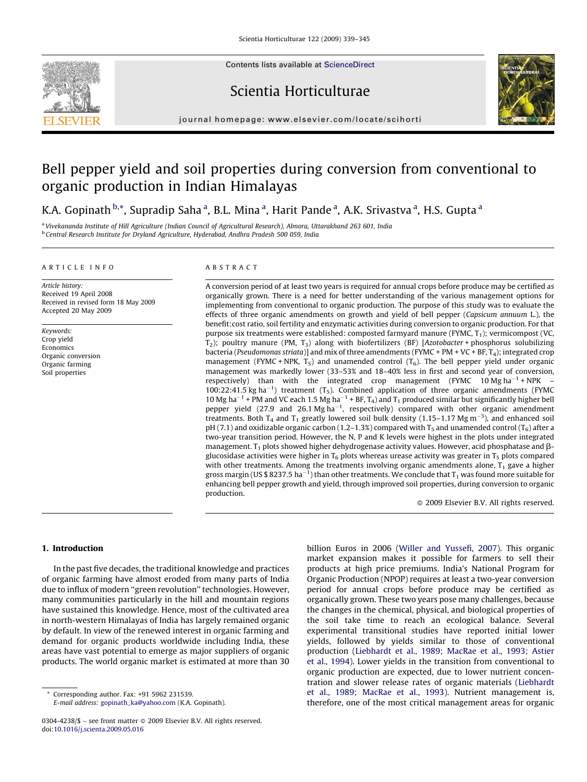

Contents lists available at [ScienceDirect](http://www.sciencedirect.com/science/journal/03044238)

# Scientia Horticulturae



journal homepage: www.elsevier.com/locate/scihorti

# Bell pepper yield and soil properties during conversion from conventional to organic production in Indian Himalayas

K.A. Gopinath <sup>b,\*</sup>, Supradip Saha <sup>a</sup>, B.L. Mina <sup>a</sup>, Harit Pande <sup>a</sup>, A.K. Srivastva <sup>a</sup>, H.S. Gupta <sup>a</sup>

<sup>a</sup> Vivekananda Institute of Hill Agriculture (Indian Council of Agricultural Research), Almora, Uttarakhand 263 601, India <sup>b</sup> Central Research Institute for Dryland Agriculture, Hyderabad, Andhra Pradesh 500 059, India

#### ARTICLE INFO

Article history: Received 19 April 2008 Received in revised form 18 May 2009 Accepted 20 May 2009

Keywords: Crop yield Economics Organic conversion Organic farming Soil properties

#### ABSTRACT

A conversion period of at least two years is required for annual crops before produce may be certified as organically grown. There is a need for better understanding of the various management options for implementing from conventional to organic production. The purpose of this study was to evaluate the effects of three organic amendments on growth and yield of bell pepper (Capsicum annuum L.), the benefit:cost ratio, soil fertility and enzymatic activities during conversion to organic production. For that purpose six treatments were established: composted farmyard manure (FYMC, T<sub>1</sub>); vermicompost (VC,  $T_2$ ); poultry manure (PM,  $T_3$ ) along with biofertilizers (BF) [Azotobacter + phosphorus solubilizing bacteria (Pseudomonas striata)] and mix of three amendments (FYMC + PM + VC + BF, T<sub>4</sub>); integrated crop management (FYMC + NPK,  $T_5$ ) and unamended control ( $T_6$ ). The bell pepper yield under organic management was markedly lower (33–53% and 18–40% less in first and second year of conversion, respectively) than with the integrated crop management (FYMC  $10 \text{ Mg ha}^{-1}$ + NPK -100:22:41.5 kg ha<sup>-1</sup>) treatment (T<sub>5</sub>). Combined application of three organic amendments (FYMC 10 Mg ha<sup>-1</sup> + PM and VC each 1.5 Mg ha<sup>-1</sup> + BF, T<sub>4</sub>) and T<sub>1</sub> produced similar but significantly higher bell pepper yield (27.9 and 26.1 Mg ha<sup>-1</sup>, respectively) compared with other organic amendment treatments. Both  $T_4$  and  $T_1$  greatly lowered soil bulk density (1.15–1.17 Mg m<sup>-3</sup>), and enhanced soil pH (7.1) and oxidizable organic carbon (1.2–1.3%) compared with  $T_5$  and unamended control ( $T_6$ ) after a two-year transition period. However, the N, P and K levels were highest in the plots under integrated management.  $T_1$  plots showed higher dehydrogenase activity values. However, acid phosphatase and  $\beta$ glucosidase activities were higher in  $T_6$  plots whereas urease activity was greater in  $T_5$  plots compared with other treatments. Among the treatments involving organic amendments alone,  $T_1$  gave a higher gross margin (US \$ 8237.5 ha $^{-1}$ ) than other treatments. We conclude that T<sub>1</sub> was found more suitable for enhancing bell pepper growth and yield, through improved soil properties, during conversion to organic production.

 $\odot$  2009 Elsevier B.V. All rights reserved.

# 1. Introduction

In the past five decades, the traditional knowledge and practices of organic farming have almost eroded from many parts of India due to influx of modern ''green revolution'' technologies. However, many communities particularly in the hill and mountain regions have sustained this knowledge. Hence, most of the cultivated area in north-western Himalayas of India has largely remained organic by default. In view of the renewed interest in organic farming and demand for organic products worldwide including India, these areas have vast potential to emerge as major suppliers of organic products. The world organic market is estimated at more than 30

Corresponding author. Fax: +91 5962 231539. E-mail address: [gopinath\\_ka@yahoo.com](mailto:gopinath_ka@yahoo.com) (K.A. Gopinath). billion Euros in 2006 [\(Willer and Yussefi, 2007](#page-6-0)). This organic market expansion makes it possible for farmers to sell their products at high price premiums. India's National Program for Organic Production (NPOP) requires at least a two-year conversion period for annual crops before produce may be certified as organically grown. These two years pose many challenges, because the changes in the chemical, physical, and biological properties of the soil take time to reach an ecological balance. Several experimental transitional studies have reported initial lower yields, followed by yields similar to those of conventional production ([Liebhardt et al., 1989; MacRae et al., 1993; Astier](#page-6-0) [et al., 1994\)](#page-6-0). Lower yields in the transition from conventional to organic production are expected, due to lower nutrient concentration and slower release rates of organic materials [\(Liebhardt](#page-6-0) [et al., 1989; MacRae et al., 1993\)](#page-6-0). Nutrient management is, therefore, one of the most critical management areas for organic

<sup>0304-4238/\$ –</sup> see front matter © 2009 Elsevier B.V. All rights reserved. doi:[10.1016/j.scienta.2009.05.016](http://dx.doi.org/10.1016/j.scienta.2009.05.016)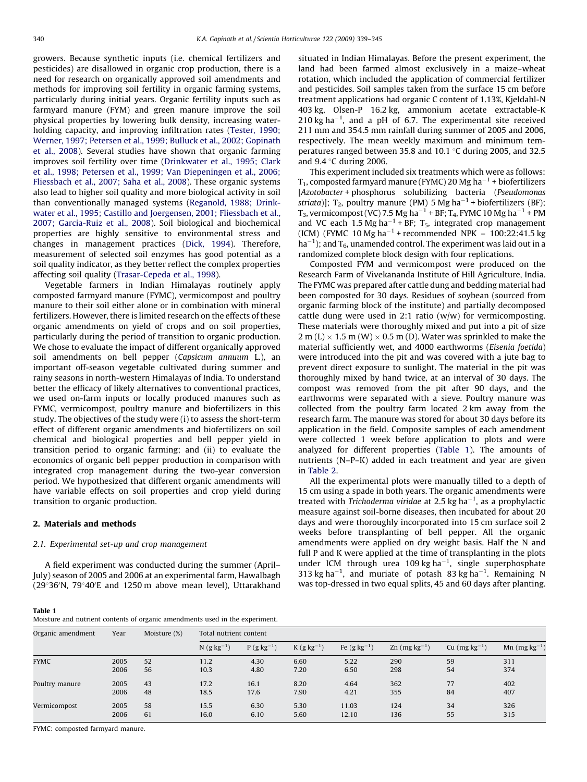growers. Because synthetic inputs (i.e. chemical fertilizers and pesticides) are disallowed in organic crop production, there is a need for research on organically approved soil amendments and methods for improving soil fertility in organic farming systems, particularly during initial years. Organic fertility inputs such as farmyard manure (FYM) and green manure improve the soil physical properties by lowering bulk density, increasing waterholding capacity, and improving infiltration rates ([Tester, 1990;](#page-6-0) [Werner, 1997; Petersen et al., 1999; Bulluck et al., 2002; Gopinath](#page-6-0) [et al., 2008](#page-6-0)). Several studies have shown that organic farming improves soil fertility over time ([Drinkwater et al., 1995; Clark](#page-6-0) [et al., 1998; Petersen et al., 1999; Van Diepeningen et al., 2006;](#page-6-0) [Fliessbach et al., 2007; Saha et al., 2008\)](#page-6-0). These organic systems also lead to higher soil quality and more biological activity in soil than conventionally managed systems ([Reganold, 1988; Drink](#page-6-0)[water et al., 1995; Castillo and Joergensen, 2001; Fliessbach et al.,](#page-6-0) [2007; Garcia-Ruiz et al., 2008\)](#page-6-0). Soil biological and biochemical properties are highly sensitive to environmental stress and changes in management practices [\(Dick, 1994\)](#page-6-0). Therefore, measurement of selected soil enzymes has good potential as a soil quality indicator, as they better reflect the complex properties affecting soil quality [\(Trasar-Cepeda et al., 1998](#page-6-0)).

Vegetable farmers in Indian Himalayas routinely apply composted farmyard manure (FYMC), vermicompost and poultry manure to their soil either alone or in combination with mineral fertilizers. However, there is limited research on the effects of these organic amendments on yield of crops and on soil properties, particularly during the period of transition to organic production. We chose to evaluate the impact of different organically approved soil amendments on bell pepper (Capsicum annuum L.), an important off-season vegetable cultivated during summer and rainy seasons in north-western Himalayas of India. To understand better the efficacy of likely alternatives to conventional practices, we used on-farm inputs or locally produced manures such as FYMC, vermicompost, poultry manure and biofertilizers in this study. The objectives of the study were (i) to assess the short-term effect of different organic amendments and biofertilizers on soil chemical and biological properties and bell pepper yield in transition period to organic farming; and (ii) to evaluate the economics of organic bell pepper production in comparison with integrated crop management during the two-year conversion period. We hypothesized that different organic amendments will have variable effects on soil properties and crop yield during transition to organic production.

### 2. Materials and methods

## 2.1. Experimental set-up and crop management

A field experiment was conducted during the summer (April– July) season of 2005 and 2006 at an experimental farm, Hawalbagh (29°36'N, 79°40'E and 1250 m above mean level), Uttarakhand

situated in Indian Himalayas. Before the present experiment, the land had been farmed almost exclusively in a maize–wheat rotation, which included the application of commercial fertilizer and pesticides. Soil samples taken from the surface 15 cm before treatment applications had organic C content of 1.13%, Kjeldahl-N 403 kg, Olsen-P 16.2 kg, ammonium acetate extractable-K  $210$  kg ha<sup>-1</sup>, and a pH of 6.7. The experimental site received 211 mm and 354.5 mm rainfall during summer of 2005 and 2006, respectively. The mean weekly maximum and minimum temperatures ranged between 35.8 and 10.1  $\degree$ C during 2005, and 32.5 and  $9.4 \degree$ C during 2006.

This experiment included six treatments which were as follows: T<sub>1</sub>, composted farmyard manure (FYMC) 20 Mg ha $^{-1}$  + biofertilizers [Azotobacter + phosphorus solubilizing bacteria (Pseudomonas striata)];  $T_2$ , poultry manure (PM) 5 Mg ha<sup>-1</sup> + biofertilizers (BF); T<sub>3</sub>, vermicompost (VC) 7.5 Mg ha $^{-1}$  + BF; T<sub>4</sub>, FYMC 10 Mg ha $^{-1}$  + PM and VC each 1.5 Mg ha<sup> $-1$ </sup> + BF; T<sub>5</sub>, integrated crop management (ICM) (FYMC 10 Mg ha<sup>-1</sup> + recommended NPK - 100:22:41.5 kg  $ha^{-1}$ ); and  $T_6$ , unamended control. The experiment was laid out in a randomized complete block design with four replications.

Composted FYM and vermicompost were produced on the Research Farm of Vivekananda Institute of Hill Agriculture, India. The FYMC was prepared after cattle dung and bedding material had been composted for 30 days. Residues of soybean (sourced from organic farming block of the institute) and partially decomposed cattle dung were used in 2:1 ratio ( $w/w$ ) for vermicomposting. These materials were thoroughly mixed and put into a pit of size 2 m (L)  $\times$  1.5 m (W)  $\times$  0.5 m (D). Water was sprinkled to make the material sufficiently wet, and 4000 earthworms (Eisenia foetida) were introduced into the pit and was covered with a jute bag to prevent direct exposure to sunlight. The material in the pit was thoroughly mixed by hand twice, at an interval of 30 days. The compost was removed from the pit after 90 days, and the earthworms were separated with a sieve. Poultry manure was collected from the poultry farm located 2 km away from the research farm. The manure was stored for about 30 days before its application in the field. Composite samples of each amendment were collected 1 week before application to plots and were analyzed for different properties (Table 1). The amounts of nutrients (N–P–K) added in each treatment and year are given in [Table 2](#page-2-0).

All the experimental plots were manually tilled to a depth of 15 cm using a spade in both years. The organic amendments were treated with Trichoderma viridae at 2.5 kg ha<sup> $-1$ </sup>, as a prophylactic measure against soil-borne diseases, then incubated for about 20 days and were thoroughly incorporated into 15 cm surface soil 2 weeks before transplanting of bell pepper. All the organic amendments were applied on dry weight basis. Half the N and full P and K were applied at the time of transplanting in the plots under ICM through urea 109 kg ha<sup> $-1$ </sup>, single superphosphate 313 kg ha<sup>-1</sup>, and muriate of potash 83 kg ha<sup>-1</sup>. Remaining N was top-dressed in two equal splits, 45 and 60 days after planting.

| Table 1                                                                      |  |
|------------------------------------------------------------------------------|--|
| Moisture and nutrient contents of organic amendments used in the experiment. |  |

| Organic amendment | Year | Moisture (%) | Total nutrient content    |                |                |                     |                   |                   |                   |
|-------------------|------|--------------|---------------------------|----------------|----------------|---------------------|-------------------|-------------------|-------------------|
|                   |      |              | $N$ (g kg <sup>-1</sup> ) | $P(g kg^{-1})$ | $K(g kg^{-1})$ | Fe $(g \, kg^{-1})$ | Zn $(mg kg^{-1})$ | Cu $(mg kg^{-1})$ | Mn $(mg kg^{-1})$ |
| <b>FYMC</b>       | 2005 | 52           | 11.2                      | 4.30           | 6.60           | 5.22                | 290               | 59                | 311               |
|                   | 2006 | 56           | 10.3                      | 4.80           | 7.20           | 6.50                | 298               | 54                | 374               |
| Poultry manure    | 2005 | 43           | 17.2                      | 16.1           | 8.20           | 4.64                | 362               | 77                | 402               |
|                   | 2006 | 48           | 18.5                      | 17.6           | 7.90           | 4.21                | 355               | 84                | 407               |
| Vermicompost      | 2005 | 58           | 15.5                      | 6.30           | 5.30           | 11.03               | 124               | 34                | 326               |
|                   | 2006 | 61           | 16.0                      | 6.10           | 5.60           | 12.10               | 136               | 55                | 315               |

FYMC: composted farmyard manure.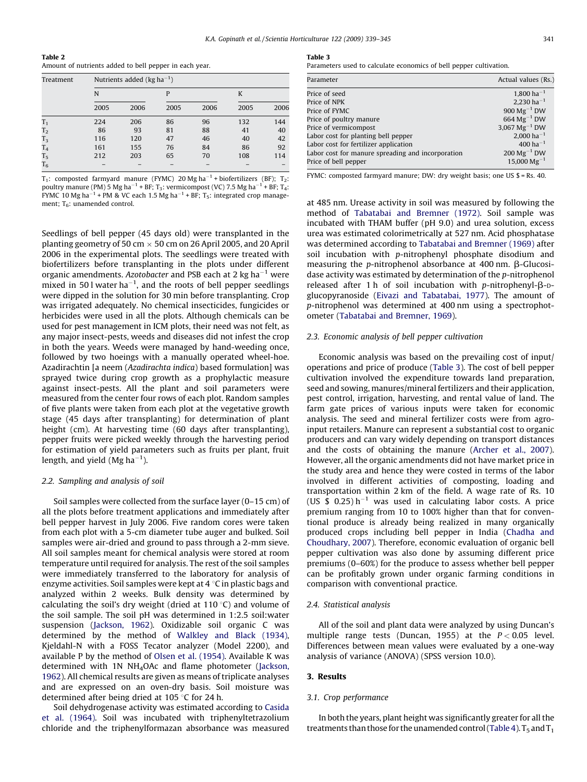<span id="page-2-0"></span>

| Table 2                                                |  |
|--------------------------------------------------------|--|
| Amount of nutrients added to bell pepper in each year. |  |

| Treatment      | Nutrients added ( $kg \, ha^{-1}$ ) |      |      |      |      |      |  |
|----------------|-------------------------------------|------|------|------|------|------|--|
|                | N                                   |      |      |      | K    |      |  |
|                | 2005                                | 2006 | 2005 | 2006 | 2005 | 2006 |  |
| T <sub>1</sub> | 224                                 | 206  | 86   | 96   | 132  | 144  |  |
| T <sub>2</sub> | 86                                  | 93   | 81   | 88   | 41   | 40   |  |
| $T_3$          | 116                                 | 120  | 47   | 46   | 40   | 42   |  |
| T <sub>4</sub> | 161                                 | 155  | 76   | 84   | 86   | 92   |  |
| T <sub>5</sub> | 212                                 | 203  | 65   | 70   | 108  | 114  |  |
| $T_6$          |                                     |      |      |      |      |      |  |

 $T_1$ : composted farmyard manure (FYMC) 20 Mg ha<sup>-1</sup> + biofertilizers (BF);  $T_2$ : poultry manure (PM) 5 Mg ha $^{-1}$  + BF; T3: vermicompost (VC) 7.5 Mg ha $^{-1}$  + BF; T4: FYMC 10 Mg ha $^{-1}$  + PM & VC each 1.5 Mg ha $^{-1}$  + BF; T<sub>5</sub>: integrated crop management;  $T<sub>6</sub>$ : unamended control.

Seedlings of bell pepper (45 days old) were transplanted in the planting geometry of 50 cm  $\times$  50 cm on 26 April 2005, and 20 April 2006 in the experimental plots. The seedlings were treated with biofertilizers before transplanting in the plots under different organic amendments. Azotobacter and PSB each at 2 kg ha $^{-1}$  were mixed in 501 water ha<sup> $-1$ </sup>, and the roots of bell pepper seedlings were dipped in the solution for 30 min before transplanting. Crop was irrigated adequately. No chemical insecticides, fungicides or herbicides were used in all the plots. Although chemicals can be used for pest management in ICM plots, their need was not felt, as any major insect-pests, weeds and diseases did not infest the crop in both the years. Weeds were managed by hand-weeding once, followed by two hoeings with a manually operated wheel-hoe. Azadirachtin [a neem (Azadirachta indica) based formulation] was sprayed twice during crop growth as a prophylactic measure against insect-pests. All the plant and soil parameters were measured from the center four rows of each plot. Random samples of five plants were taken from each plot at the vegetative growth stage (45 days after transplanting) for determination of plant height (cm). At harvesting time (60 days after transplanting), pepper fruits were picked weekly through the harvesting period for estimation of yield parameters such as fruits per plant, fruit length, and yield (Mg ha $^{-1}$ ).

#### 2.2. Sampling and analysis of soil

Soil samples were collected from the surface layer (0–15 cm) of all the plots before treatment applications and immediately after bell pepper harvest in July 2006. Five random cores were taken from each plot with a 5-cm diameter tube auger and bulked. Soil samples were air-dried and ground to pass through a 2-mm sieve. All soil samples meant for chemical analysis were stored at room temperature until required for analysis. The rest of the soil samples were immediately transferred to the laboratory for analysis of enzyme activities. Soil samples were kept at  $4^{\circ}$ C in plastic bags and analyzed within 2 weeks. Bulk density was determined by calculating the soil's dry weight (dried at 110 $\degree$ C) and volume of the soil sample. The soil pH was determined in 1:2.5 soil:water suspension [\(Jackson, 1962\)](#page-6-0). Oxidizable soil organic C was determined by the method of [Walkley and Black \(1934\),](#page-6-0) Kjeldahl-N with a FOSS Tecator analyzer (Model 2200), and available P by the method of [Olsen et al. \(1954\).](#page-6-0) Available K was determined with 1N NH4OAc and flame photometer ([Jackson,](#page-6-0) [1962\)](#page-6-0). All chemical results are given as means of triplicate analyses and are expressed on an oven-dry basis. Soil moisture was determined after being dried at 105  $\degree$ C for 24 h.

Soil dehydrogenase activity was estimated according to [Casida](#page-5-0) [et al. \(1964\)](#page-5-0). Soil was incubated with triphenyltetrazolium chloride and the triphenylformazan absorbance was measured

#### Table 3

Parameters used to calculate economics of bell pepper cultivation.

| Parameter                                         | Actual values (Rs.)         |
|---------------------------------------------------|-----------------------------|
| Price of seed                                     | $1,800$ ha <sup>-1</sup>    |
| Price of NPK                                      | $2,230$ ha <sup>-1</sup>    |
| Price of FYMC                                     | $900 \text{ Mg}^{-1}$ DW    |
| Price of poultry manure                           | 664 $Mg^{-1}$ DW            |
| Price of vermicompost                             | $3,067 \text{ Mg}^{-1}$ DW  |
| Labor cost for planting bell pepper               | $2.000$ ha <sup>-1</sup>    |
| Labor cost for fertilizer application             | $400$ ha <sup>-1</sup>      |
| Labor cost for manure spreading and incorporation | $200 \,\mathrm{Mg}^{-1}$ DW |
| Price of bell pepper                              | $15.000 \,\mathrm{Mg^{-1}}$ |

FYMC: composted farmyard manure; DW: dry weight basis; one US \$ = Rs. 40.

at 485 nm. Urease activity in soil was measured by following the method of [Tabatabai and Bremner \(1972\).](#page-6-0) Soil sample was incubated with THAM buffer (pH 9.0) and urea solution, excess urea was estimated colorimetrically at 527 nm. Acid phosphatase was determined according to [Tabatabai and Bremner \(1969\)](#page-6-0) after soil incubation with p-nitrophenyl phosphate disodium and measuring the p-nitrophenol absorbance at 400 nm.  $\beta$ -Glucosidase activity was estimated by determination of the p-nitrophenol released after 1 h of soil incubation with p-nitrophenyl- $\beta$ -Dglucopyranoside [\(Eivazi and Tabatabai, 1977\)](#page-6-0). The amount of p-nitrophenol was determined at 400 nm using a spectrophotometer ([Tabatabai and Bremner, 1969\)](#page-6-0).

## 2.3. Economic analysis of bell pepper cultivation

Economic analysis was based on the prevailing cost of input/ operations and price of produce (Table 3). The cost of bell pepper cultivation involved the expenditure towards land preparation, seed and sowing, manures/mineral fertilizers and their application, pest control, irrigation, harvesting, and rental value of land. The farm gate prices of various inputs were taken for economic analysis. The seed and mineral fertilizer costs were from agroinput retailers. Manure can represent a substantial cost to organic producers and can vary widely depending on transport distances and the costs of obtaining the manure [\(Archer et al., 2007\)](#page-5-0). However, all the organic amendments did not have market price in the study area and hence they were costed in terms of the labor involved in different activities of composting, loading and transportation within 2 km of the field. A wage rate of Rs. 10 (US \$ 0.25) $h^{-1}$  was used in calculating labor costs. A price premium ranging from 10 to 100% higher than that for conventional produce is already being realized in many organically produced crops including bell pepper in India [\(Chadha and](#page-5-0) [Choudhary, 2007\)](#page-5-0). Therefore, economic evaluation of organic bell pepper cultivation was also done by assuming different price premiums (0–60%) for the produce to assess whether bell pepper can be profitably grown under organic farming conditions in comparison with conventional practice.

#### 2.4. Statistical analysis

All of the soil and plant data were analyzed by using Duncan's multiple range tests (Duncan, 1955) at the  $P < 0.05$  level. Differences between mean values were evaluated by a one-way analysis of variance (ANOVA) (SPSS version 10.0).

#### 3. Results

#### 3.1. Crop performance

In both the years, plant height was significantly greater for all the treatments than those for the unamended control [\(Table 4](#page-3-0)).  $T_5$  and  $T_1$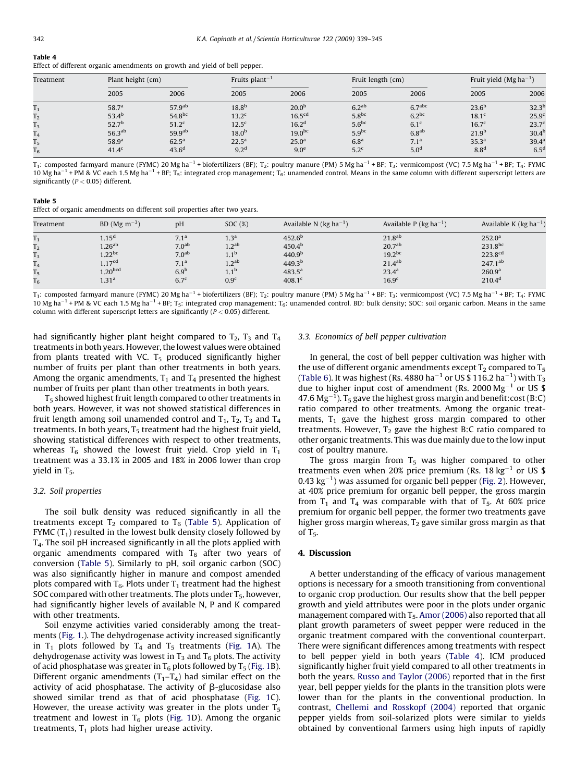<span id="page-3-0"></span>

| Fable |  |
|-------|--|

|  |  |  | Effect of different organic amendments on growth and yield of bell pepper. |  |
|--|--|--|----------------------------------------------------------------------------|--|
|  |  |  |                                                                            |  |

| Treatment      |                    | Plant height (cm)  |                   | Fruits plant <sup>-1</sup> |                   | Fruit length (cm)  |                   | Fruit yield $(Mg ha^{-1})$ |  |
|----------------|--------------------|--------------------|-------------------|----------------------------|-------------------|--------------------|-------------------|----------------------------|--|
|                | 2005               | 2006               | 2005              | 2006                       | 2005              | 2006               | 2005              | 2006                       |  |
| $T_{1}$        | 58.7 <sup>a</sup>  | $57.9^{ab}$        | $18.8^{b}$        | 20.0 <sup>b</sup>          | 6.2 <sup>ab</sup> | 6.7 <sup>abc</sup> | $23.6^{b}$        | $32.3^{b}$                 |  |
| T <sub>2</sub> | $53.4^{b}$         | 54.8 <sup>bc</sup> | 13.2 <sup>c</sup> | 16.5 <sup>cd</sup>         | 5.8 <sup>bc</sup> | $6.2^{bc}$         | 18.1 <sup>c</sup> | 25.9 <sup>c</sup>          |  |
| $T_3$          | 52.7 <sup>b</sup>  | 51.2 <sup>c</sup>  | 12.5 <sup>c</sup> | 16.2 <sup>d</sup>          | 5.6 <sup>bc</sup> | 6.1 <sup>c</sup>   | 16.7 <sup>c</sup> | 23.7 <sup>c</sup>          |  |
| 1 <sub>4</sub> | 56.3 <sup>ab</sup> | 59.9 <sup>ab</sup> | 18.0 <sup>b</sup> | 19.0 <sup>bc</sup>         | $5.9^{bc}$        | 6.8 <sup>ab</sup>  | 21.9 <sup>b</sup> | 30.4 <sup>b</sup>          |  |
| T <sub>5</sub> | 58.9 <sup>a</sup>  | $62.5^{\rm a}$     | $22.5^{\rm a}$    | 25.0 <sup>a</sup>          | 6.8 <sup>a</sup>  | 7.1 <sup>a</sup>   | 35.3 <sup>a</sup> | 39.4 <sup>a</sup>          |  |
| $T_6$          | $41.4^{\circ}$     | 43.6 <sup>d</sup>  | 9.2 <sup>d</sup>  | 9.0 <sup>e</sup>           | $5.2^c$           | 5.0 <sup>d</sup>   | 8.8 <sup>d</sup>  | 6.5 <sup>d</sup>           |  |

T<sub>1</sub>: composted farmyard manure (FYMC) 20 Mg ha<sup>-1</sup> + biofertilizers (BF); T<sub>2</sub>: poultry manure (PM) 5 Mg ha<sup>-1</sup> + BF; T<sub>3</sub>: vermicompost (VC) 7.5 Mg ha<sup>-1</sup> + BF; T<sub>4</sub>: FYMC 10 Mg ha<sup>-1</sup> + PM & VC each 1.5 Mg ha<sup>-1</sup> + BF; T<sub>5</sub>: integrated crop management; T<sub>6</sub>: unamended control. Means in the same column with different superscript letters are significantly ( $P < 0.05$ ) different.

| Table 5                                                                    |  |  |
|----------------------------------------------------------------------------|--|--|
| Effect of organic amendments on different soil properties after two years. |  |  |

| Treatment                                                                                     | BD (Mg $\rm m^{-3}$ )                                                                                      | pH                                                                                              | SOC <sub>(%)</sub>                                                                                       | Available N ( $kg$ ha <sup>-1</sup> )                                                                                | Available P ( $kg$ ha <sup>-1</sup> )                                                                     | Available K ( $kg$ ha <sup>-1</sup> )                                                                   |
|-----------------------------------------------------------------------------------------------|------------------------------------------------------------------------------------------------------------|-------------------------------------------------------------------------------------------------|----------------------------------------------------------------------------------------------------------|----------------------------------------------------------------------------------------------------------------------|-----------------------------------------------------------------------------------------------------------|---------------------------------------------------------------------------------------------------------|
| 1 <sub>1</sub><br>m<br>1 <sub>2</sub><br>$T_3$<br>m<br>14<br>T <sub>5</sub><br>T <sub>6</sub> | 1.15 <sup>d</sup><br>$1.26^{ab}$<br>$1.22^{bc}$<br>1.17 <sup>cd</sup><br>$1.20^{bcd}$<br>1.31 <sup>a</sup> | $7.1^a$<br>7.0 <sup>ab</sup><br>7.0 <sup>ab</sup><br>$7.1^a$<br>6.9 <sup>E</sup><br>$6.7^\circ$ | 1.3 <sup>a</sup><br>1.2 <sup>ab</sup><br>$1.1^{b}$<br>1.2 <sup>ab</sup><br>$1.1^{b}$<br>0.9 <sup>c</sup> | 452.6 <sup>b</sup><br>450.4 <sup>b</sup><br>440.9 <sup>b</sup><br>$449.3^{b}$<br>$483.5^{\rm a}$<br>408.1 $^{\rm c}$ | 21.8 <sup>ab</sup><br>20.7 <sup>ab</sup><br>$19.2^{bc}$<br>$21.4^{ab}$<br>$23.4^{a}$<br>16.9 <sup>c</sup> | 252.0 <sup>a</sup><br>231.8bc<br>223.8 <sup>cd</sup><br>$247.1^{ab}$<br>260.9 <sup>a</sup><br>$210.4^d$ |

 $T_1$ : composted farmyard manure (FYMC) 20 Mg ha<sup>-1</sup> + biofertilizers (BF);  $T_2$ : poultry manure (PM) 5 Mg ha<sup>-1</sup> + BF; T<sub>3</sub>: vermicompost (VC) 7.5 Mg ha<sup>-1</sup> + BF; T<sub>4</sub>: FYMC 10 Mg ha<sup>-1</sup> + PM & VC each 1.5 Mg ha<sup>-1</sup> + BF; T<sub>5</sub>: integrated crop management; T<sub>6</sub>: unamended control. BD: bulk density; SOC: soil organic carbon. Means in the same column with different superscript letters are significantly ( $P < 0.05$ ) different.

had significantly higher plant height compared to  $T_2$ ,  $T_3$  and  $T_4$ treatments in both years. However, the lowest values were obtained from plants treated with VC.  $T_5$  produced significantly higher number of fruits per plant than other treatments in both years. Among the organic amendments,  $T_1$  and  $T_4$  presented the highest number of fruits per plant than other treatments in both years.

 $T<sub>5</sub>$  showed highest fruit length compared to other treatments in both years. However, it was not showed statistical differences in fruit length among soil unamended control and  $T_1$ ,  $T_2$ ,  $T_3$  and  $T_4$ treatments. In both years,  $T_5$  treatment had the highest fruit yield, showing statistical differences with respect to other treatments, whereas  $T_6$  showed the lowest fruit yield. Crop yield in  $T_1$ treatment was a 33.1% in 2005 and 18% in 2006 lower than crop yield in  $T_5$ .

#### 3.2. Soil properties

The soil bulk density was reduced significantly in all the treatments except  $T_2$  compared to  $T_6$  (Table 5). Application of FYMC  $(T_1)$  resulted in the lowest bulk density closely followed by T4. The soil pH increased significantly in all the plots applied with organic amendments compared with  $T_6$  after two years of conversion (Table 5). Similarly to pH, soil organic carbon (SOC) was also significantly higher in manure and compost amended plots compared with  $T_6$ . Plots under  $T_1$  treatment had the highest SOC compared with other treatments. The plots under  $T_5$ , however, had significantly higher levels of available N, P and K compared with other treatments.

Soil enzyme activities varied considerably among the treatments ([Fig. 1](#page-4-0).). The dehydrogenase activity increased significantly in  $T_1$  plots followed by  $T_4$  and  $T_5$  treatments [\(Fig. 1](#page-4-0)A). The dehydrogenase activity was lowest in  $T_3$  and  $T_6$  plots. The activity of acid phosphatase was greater in  $T_6$  plots followed by  $T_5$  ([Fig. 1B](#page-4-0)). Different organic amendments  $(T_1-T_4)$  had similar effect on the activity of acid phosphatase. The activity of  $\beta$ -glucosidase also showed similar trend as that of acid phosphatase [\(Fig. 1C](#page-4-0)). However, the urease activity was greater in the plots under  $T_5$ treatment and lowest in  $T_6$  plots [\(Fig. 1](#page-4-0)D). Among the organic treatments,  $T_1$  plots had higher urease activity.

#### 3.3. Economics of bell pepper cultivation

In general, the cost of bell pepper cultivation was higher with the use of different organic amendments except  $T_2$  compared to  $T_5$ ([Table 6](#page-4-0)). It was highest (Rs. 4880 ha $^{-1}$  or US \$ 116.2 ha $^{-1}$ ) with T<sub>3</sub> due to higher input cost of amendment (Rs. 2000  $Mg^{-1}$  or US \$ 47.6  ${\rm Mg^{-1}}$ ). T<sub>5</sub> gave the highest gross margin and benefit:cost (B:C) ratio compared to other treatments. Among the organic treatments,  $T_1$  gave the highest gross margin compared to other treatments. However,  $T_2$  gave the highest B:C ratio compared to other organic treatments. This was due mainly due to the low input cost of poultry manure.

The gross margin from  $T_5$  was higher compared to other treatments even when 20% price premium (Rs. 18  $kg^{-1}$  or US \$ 0.43  $\text{kg}^{-1}$ ) was assumed for organic bell pepper ([Fig. 2](#page-4-0)). However, at 40% price premium for organic bell pepper, the gross margin from  $T_1$  and  $T_4$  was comparable with that of  $T_5$ . At 60% price premium for organic bell pepper, the former two treatments gave higher gross margin whereas,  $T_2$  gave similar gross margin as that of  $T_5$ .

## 4. Discussion

A better understanding of the efficacy of various management options is necessary for a smooth transitioning from conventional to organic crop production. Our results show that the bell pepper growth and yield attributes were poor in the plots under organic management compared with  $T_5$ . [Amor \(2006\)](#page-5-0) also reported that all plant growth parameters of sweet pepper were reduced in the organic treatment compared with the conventional counterpart. There were significant differences among treatments with respect to bell pepper yield in both years (Table 4). ICM produced significantly higher fruit yield compared to all other treatments in both the years. [Russo and Taylor \(2006\)](#page-6-0) reported that in the first year, bell pepper yields for the plants in the transition plots were lower than for the plants in the conventional production. In contrast, [Chellemi and Rosskopf \(2004\)](#page-6-0) reported that organic pepper yields from soil-solarized plots were similar to yields obtained by conventional farmers using high inputs of rapidly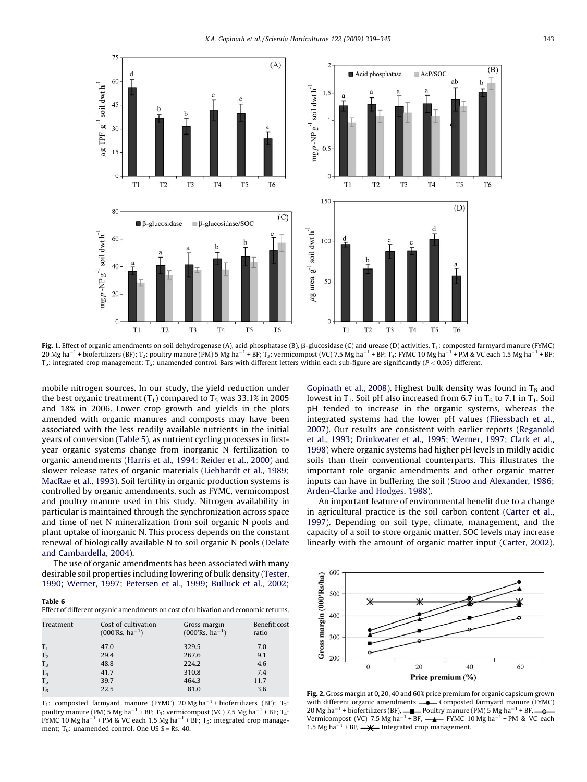<span id="page-4-0"></span>

Fig. 1. Effect of organic amendments on soil dehydrogenase (A), acid phosphatase (B),  $\beta$ -glucosidase (C) and urease (D) activities.  $T_1$ : composted farmyard manure (FYMC) 20 Mg ha<sup>–1</sup> + biofertilizers (BF); T<sub>2</sub>: poultry manure (PM) 5 Mg ha<sup>–1</sup> + BF; T<sub>3</sub>: vermicompost (VC) 7.5 Mg ha<sup>–1</sup> + BF; T<sub>4</sub>: FYMC 10 Mg ha<sup>–1</sup> + PM & VC each 1.5 Mg ha<sup>–1</sup> + BF;  $T_5$ : integrated crop management;  $T_6$ : unamended control. Bars with different letters within each sub-figure are significantly ( $P < 0.05$ ) different.

mobile nitrogen sources. In our study, the yield reduction under the best organic treatment  $(T_1)$  compared to  $T_5$  was 33.1% in 2005 and 18% in 2006. Lower crop growth and yields in the plots amended with organic manures and composts may have been associated with the less readily available nutrients in the initial years of conversion ([Table 5\)](#page-3-0), as nutrient cycling processes in firstyear organic systems change from inorganic N fertilization to organic amendments [\(Harris et al., 1994; Reider et al., 2000\)](#page-6-0) and slower release rates of organic materials [\(Liebhardt et al., 1989;](#page-6-0) [MacRae et al., 1993](#page-6-0)). Soil fertility in organic production systems is controlled by organic amendments, such as FYMC, vermicompost and poultry manure used in this study. Nitrogen availability in particular is maintained through the synchronization across space and time of net N mineralization from soil organic N pools and plant uptake of inorganic N. This process depends on the constant renewal of biologically available N to soil organic N pools [\(Delate](#page-6-0) [and Cambardella, 2004](#page-6-0)).

The use of organic amendments has been associated with many desirable soil properties including lowering of bulk density [\(Tester,](#page-6-0) [1990; Werner, 1997; Petersen et al., 1999; Bulluck et al., 2002;](#page-6-0)

#### Table 6

Effect of different organic amendments on cost of cultivation and economic returns.

| Treatment      | Cost of cultivation<br>$(000\text{Rs}, \text{ha}^{-1})$ | Gross margin<br>$(000\text{Rs}, \text{ha}^{-1})$ | Benefit:cost<br>ratio |
|----------------|---------------------------------------------------------|--------------------------------------------------|-----------------------|
| T <sub>1</sub> | 47.0                                                    | 329.5                                            | 7.0                   |
| T <sub>2</sub> | 29.4                                                    | 267.6                                            | 9.1                   |
| T <sub>3</sub> | 48.8                                                    | 224.2                                            | 4.6                   |
| T <sub>4</sub> | 41.7                                                    | 310.8                                            | 7.4                   |
| T <sub>5</sub> | 39.7                                                    | 464.3                                            | 11.7                  |
| T <sub>6</sub> | 22.5                                                    | 81.0                                             | 3.6                   |

 $T_1$ : composted farmyard manure (FYMC) 20 Mg ha<sup>-1</sup> + biofertilizers (BF);  $T_2$ : poultry manure (PM) 5 Mg ha $^{-1}$  + BF; T<sub>3</sub>: vermicompost (VC) 7.5 Mg ha $^{-1}$  + BF; T<sub>4</sub>: FYMC 10 Mg ha<sup>-1</sup> + PM & VC each 1.5 Mg ha<sup>-1</sup> + BF; T<sub>5</sub>: integrated crop management;  $T_6$ : unamended control. One US \$ = Rs. 40.

[Gopinath et al., 2008\)](#page-6-0). Highest bulk density was found in  $T_6$  and lowest in  $T_1$ . Soil pH also increased from 6.7 in  $T_6$  to 7.1 in  $T_1$ . Soil pH tended to increase in the organic systems, whereas the integrated systems had the lower pH values [\(Fliessbach et al.,](#page-6-0) [2007\)](#page-6-0). Our results are consistent with earlier reports [\(Reganold](#page-6-0) [et al., 1993; Drinkwater et al., 1995; Werner, 1997; Clark et al.,](#page-6-0) [1998\)](#page-6-0) where organic systems had higher pH levels in mildly acidic soils than their conventional counterparts. This illustrates the important role organic amendments and other organic matter inputs can have in buffering the soil [\(Stroo and Alexander, 1986;](#page-6-0) [Arden-Clarke and Hodges, 1988\)](#page-6-0).

An important feature of environmental benefit due to a change in agricultural practice is the soil carbon content ([Carter et al.,](#page-5-0) [1997\)](#page-5-0). Depending on soil type, climate, management, and the capacity of a soil to store organic matter, SOC levels may increase linearly with the amount of organic matter input [\(Carter, 2002\)](#page-5-0).



Fig. 2. Gross margin at 0, 20, 40 and 60% price premium for organic capsicum grown with different organic amendments  $\rightharpoonup$  Composted farmyard manure (FYMC) 20 Mg ha<sup>-1</sup> + biofertilizers (BF),  $\longrightarrow$  Poultry manure (PM) 5 Mg ha<sup>-1</sup> + BF Vermicompost (VC) 7.5 Mg ha<sup>-1</sup> + BF,  $\longrightarrow$  FYMC 10 Mg ha<sup>-1</sup> + PM & VC each 1.5 Mg ha<sup>-1</sup> + BF,  $\longrightarrow \longrightarrow$  Integrated crop management.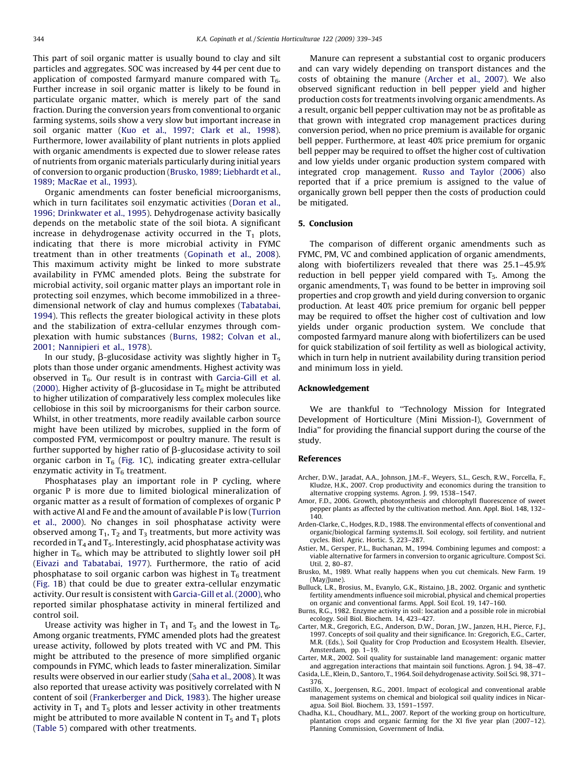<span id="page-5-0"></span>This part of soil organic matter is usually bound to clay and silt particles and aggregates. SOC was increased by 44 per cent due to application of composted farmyard manure compared with  $T_6$ . Further increase in soil organic matter is likely to be found in particulate organic matter, which is merely part of the sand fraction. During the conversion years from conventional to organic farming systems, soils show a very slow but important increase in soil organic matter [\(Kuo et al., 1997; Clark et al., 1998\)](#page-6-0). Furthermore, lower availability of plant nutrients in plots applied with organic amendments is expected due to slower release rates of nutrients from organic materials particularly during initial years of conversion to organic production (Brusko, 1989; Liebhardt et al., 1989; MacRae et al., 1993).

Organic amendments can foster beneficial microorganisms, which in turn facilitates soil enzymatic activities ([Doran et al.,](#page-6-0) [1996; Drinkwater et al., 1995\)](#page-6-0). Dehydrogenase activity basically depends on the metabolic state of the soil biota. A significant increase in dehydrogenase activity occurred in the  $T_1$  plots, indicating that there is more microbial activity in FYMC treatment than in other treatments [\(Gopinath et al., 2008\)](#page-6-0). This maximum activity might be linked to more substrate availability in FYMC amended plots. Being the substrate for microbial activity, soil organic matter plays an important role in protecting soil enzymes, which become immobilized in a threedimensional network of clay and humus complexes ([Tabatabai,](#page-6-0) [1994](#page-6-0)). This reflects the greater biological activity in these plots and the stabilization of extra-cellular enzymes through complexation with humic substances (Burns, 1982; Colvan et al., 2001; Nannipieri et al., 1978).

In our study,  $\beta$ -glucosidase activity was slightly higher in T<sub>5</sub> plots than those under organic amendments. Highest activity was observed in  $T<sub>6</sub>$ . Our result is in contrast with [Garcia-Gill et al.](#page-6-0) [\(2000\).](#page-6-0) Higher activity of  $\beta$ -glucosidase in T<sub>6</sub> might be attributed to higher utilization of comparatively less complex molecules like cellobiose in this soil by microorganisms for their carbon source. Whilst, in other treatments, more readily available carbon source might have been utilized by microbes, supplied in the form of composted FYM, vermicompost or poultry manure. The result is further supported by higher ratio of  $\beta$ -glucosidase activity to soil organic carbon in  $T_6$  [\(Fig. 1C](#page-4-0)), indicating greater extra-cellular enzymatic activity in  $T_6$  treatment.

Phosphatases play an important role in P cycling, where organic P is more due to limited biological mineralization of organic matter as a result of formation of complexes of organic P with active Al and Fe and the amount of available P is low ([Turrion](#page-6-0) [et al., 2000](#page-6-0)). No changes in soil phosphatase activity were observed among  $T_1$ ,  $T_2$  and  $T_3$  treatments, but more activity was recorded in  $T_4$  and  $T_5$ . Interestingly, acid phosphatase activity was higher in  $T_6$ , which may be attributed to slightly lower soil pH ([Eivazi and Tabatabai, 1977\)](#page-6-0). Furthermore, the ratio of acid phosphatase to soil organic carbon was highest in  $T_6$  treatment ([Fig. 1B](#page-4-0)) that could be due to greater extra-cellular enzymatic activity. Our result is consistent with [Garcia-Gill et al. \(2000\)](#page-6-0), who reported similar phosphatase activity in mineral fertilized and control soil.

Urease activity was higher in  $T_1$  and  $T_5$  and the lowest in  $T_6$ . Among organic treatments, FYMC amended plots had the greatest urease activity, followed by plots treated with VC and PM. This might be attributed to the presence of more simplified organic compounds in FYMC, which leads to faster mineralization. Similar results were observed in our earlier study ([Saha et al., 2008](#page-6-0)). It was also reported that urease activity was positively correlated with N content of soil [\(Frankerberger and Dick, 1983](#page-6-0)). The higher urease activity in  $T_1$  and  $T_5$  plots and lesser activity in other treatments might be attributed to more available N content in  $T_5$  and  $T_1$  plots ([Table 5](#page-3-0)) compared with other treatments.

Manure can represent a substantial cost to organic producers and can vary widely depending on transport distances and the costs of obtaining the manure (Archer et al., 2007). We also observed significant reduction in bell pepper yield and higher production costs for treatments involving organic amendments. As a result, organic bell pepper cultivation may not be as profitable as that grown with integrated crop management practices during conversion period, when no price premium is available for organic bell pepper. Furthermore, at least 40% price premium for organic bell pepper may be required to offset the higher cost of cultivation and low yields under organic production system compared with integrated crop management. [Russo and Taylor \(2006\)](#page-6-0) also reported that if a price premium is assigned to the value of organically grown bell pepper then the costs of production could be mitigated.

#### 5. Conclusion

The comparison of different organic amendments such as FYMC, PM, VC and combined application of organic amendments, along with biofertilizers revealed that there was 25.1–45.9% reduction in bell pepper yield compared with  $T_5$ . Among the organic amendments,  $T_1$  was found to be better in improving soil properties and crop growth and yield during conversion to organic production. At least 40% price premium for organic bell pepper may be required to offset the higher cost of cultivation and low yields under organic production system. We conclude that composted farmyard manure along with biofertilizers can be used for quick stabilization of soil fertility as well as biological activity, which in turn help in nutrient availability during transition period and minimum loss in yield.

## Acknowledgement

We are thankful to ''Technology Mission for Integrated Development of Horticulture (Mini Mission-I), Government of India'' for providing the financial support during the course of the study.

#### References

- Archer, D.W., Jaradat, A.A., Johnson, J.M.-F., Weyers, S.L., Gesch, R.W., Forcella, F., Kludze, H.K., 2007. Crop productivity and economics during the transition to alternative cropping systems. Agron. J. 99, 1538–1547.
- Amor, F.D., 2006. Growth, photosynthesis and chlorophyll fluorescence of sweet pepper plants as affected by the cultivation method. Ann. Appl. Biol. 148, 132– 140.
- Arden-Clarke, C., Hodges, R.D., 1988. The environmental effects of conventional and organic/biological farming systems.II. Soil ecology, soil fertility, and nutrient cycles. Biol. Agric. Hortic. 5, 223–287.
- Astier, M., Gersper, P.L., Buchanan, M., 1994. Combining legumes and compost: a viable alternative for farmers in conversion to organic agriculture. Compost Sci. Util. 2, 80–87.
- Brusko, M., 1989. What really happens when you cut chemicals. New Farm. 19 (May/June).
- Bulluck, L.R., Brosius, M., Evanylo, G.K., Ristaino, J.B., 2002. Organic and synthetic fertility amendments influence soil microbial, physical and chemical properties on organic and conventional farms. Appl. Soil Ecol. 19, 147–160.
- Burns, R.G., 1982. Enzyme activity in soil: location and a possible role in microbial ecology. Soil Biol. Biochem. 14, 423–427.
- Carter, M.R., Gregorich, E.G., Anderson, D.W., Doran, J.W., Janzen, H.H., Pierce, F.J., 1997. Concepts of soil quality and their significance. In: Gregorich, E.G., Carter, M.R. (Eds.), Soil Quality for Crop Production and Ecosystem Health. Elsevier, Amsterdam, pp. 1–19.
- Carter, M.R., 2002. Soil quality for sustainable land management: organic matter and aggregation interactions that maintain soil functions. Agron. J. 94, 38–47.
- Casida, L.E., Klein, D., Santoro, T., 1964. Soil dehydrogenase activity. Soil Sci. 98, 371– 376.
- Castillo, X., Joergensen, R.G., 2001. Impact of ecological and conventional arable management systems on chemical and biological soil quality indices in Nicaragua. Soil Biol. Biochem. 33, 1591–1597.
- Chadha, K.L., Choudhary, M.L., 2007. Report of the working group on horticulture, plantation crops and organic farming for the XI five year plan (2007–12). Planning Commission, Government of India.